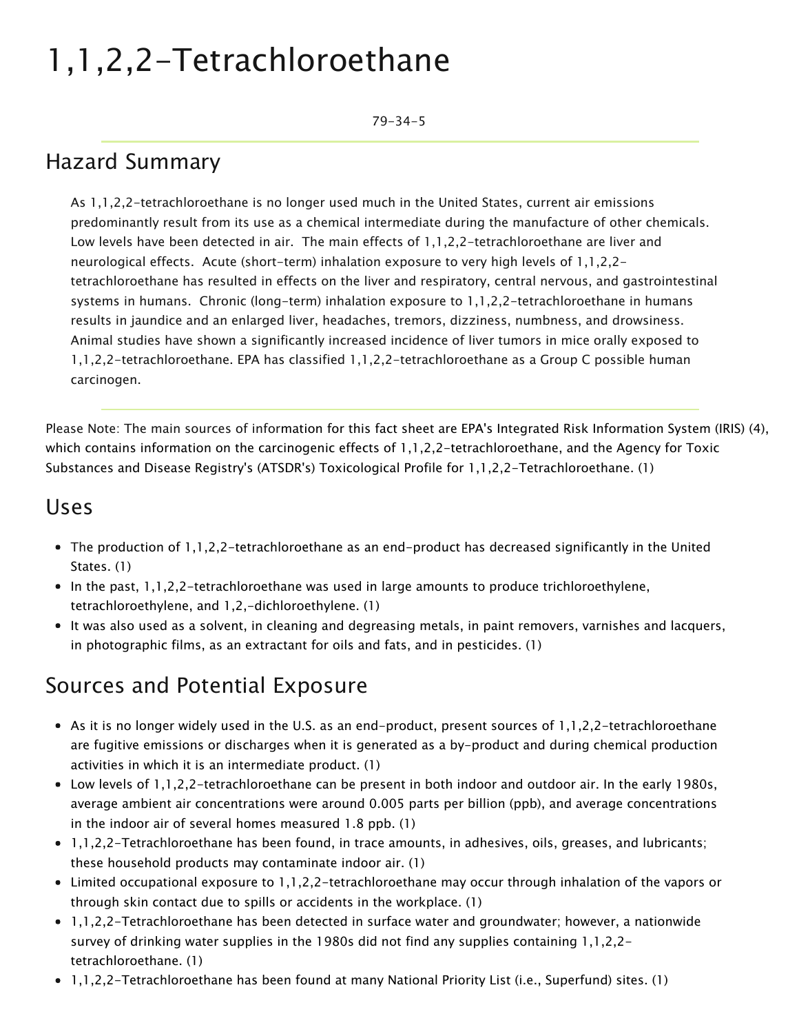# 1,1,2,2-Tetrachloroethane

79-34-5

## Hazard Summary

As 1,1,2,2-tetrachloroethane is no longer used much in the United States, current air emissions predominantly result from its use as a chemical intermediate during the manufacture of other chemicals. Low levels have been detected in air. The main effects of 1,1,2,2-tetrachloroethane are liver and neurological effects. Acute (short-term) inhalation exposure to very high levels of 1,1,2,2 tetrachloroethane has resulted in effects on the liver and respiratory, central nervous, and gastrointestinal systems in humans. Chronic (long-term) inhalation exposure to 1,1,2,2-tetrachloroethane in humans results in jaundice and an enlarged liver, headaches, tremors, dizziness, numbness, and drowsiness. Animal studies have shown a significantly increased incidence of liver tumors in mice orally exposed to 1,1,2,2-tetrachloroethane. EPA has classified 1,1,2,2-tetrachloroethane as a Group C possible human carcinogen.

Please Note: The main sources of information for this fact sheet are EPA's Integrated Risk Information System (IRIS) (4), which contains information on the carcinogenic effects of 1,1,2,2-tetrachloroethane, and the Agency for Toxic Substances and Disease Registry's (ATSDR's) Toxicological Profile for 1,1,2,2-Tetrachloroethane. (1)

#### Uses

- The production of 1,1,2,2-tetrachloroethane as an end-product has decreased significantly in the United States. (1)
- In the past, 1,1,2,2-tetrachloroethane was used in large amounts to produce trichloroethylene, tetrachloroethylene, and 1,2,-dichloroethylene. (1)
- It was also used as a solvent, in cleaning and degreasing metals, in paint removers, varnishes and lacquers, in photographic films, as an extractant for oils and fats, and in pesticides. (1)

# Sources and Potential Exposure

- As it is no longer widely used in the U.S. as an end-product, present sources of 1,1,2,2-tetrachloroethane are fugitive emissions or discharges when it is generated as a by-product and during chemical production activities in which it is an intermediate product. (1)
- Low levels of 1,1,2,2-tetrachloroethane can be present in both indoor and outdoor air. In the early 1980s, average ambient air concentrations were around 0.005 parts per billion (ppb), and average concentrations in the indoor air of several homes measured 1.8 ppb. (1)
- 1,1,2,2-Tetrachloroethane has been found, in trace amounts, in adhesives, oils, greases, and lubricants; these household products may contaminate indoor air. (1)
- Limited occupational exposure to 1,1,2,2-tetrachloroethane may occur through inhalation of the vapors or through skin contact due to spills or accidents in the workplace. (1)
- 1,1,2,2-Tetrachloroethane has been detected in surface water and groundwater; however, a nationwide survey of drinking water supplies in the 1980s did not find any supplies containing 1,1,2,2 tetrachloroethane. (1)
- 1,1,2,2-Tetrachloroethane has been found at many National Priority List (i.e., Superfund) sites. (1)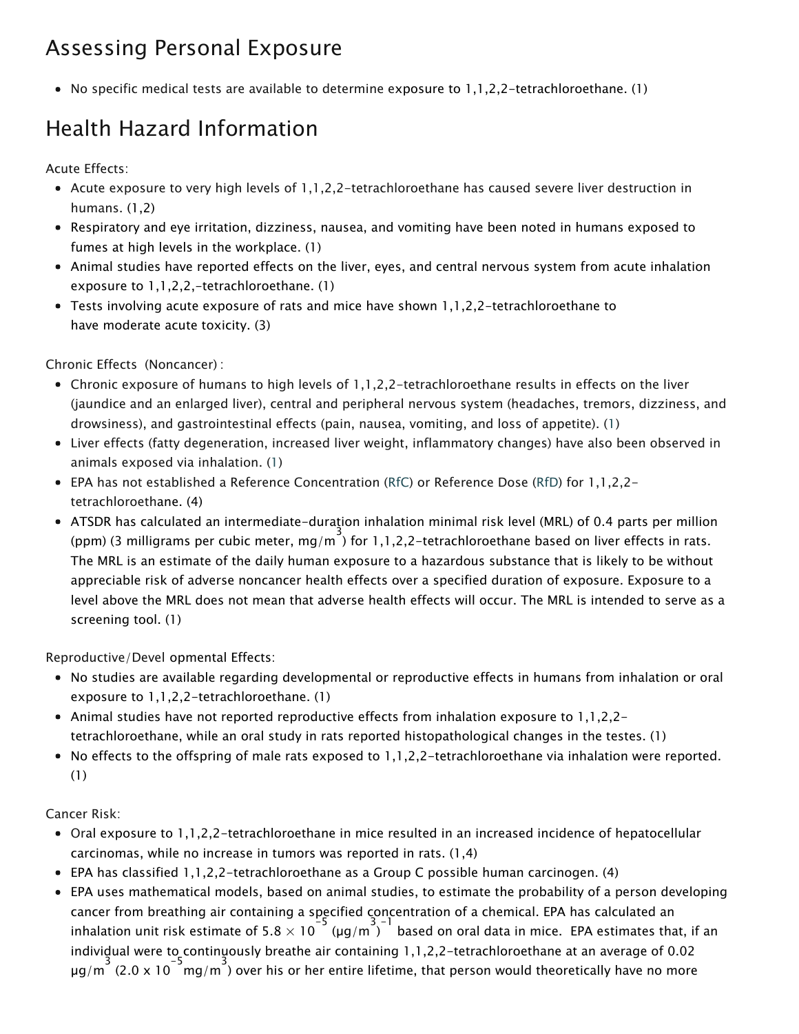# Assessing Personal Exposure

• No specific medical tests are available to determine exposure to  $1,1,2,2$ -tetrachloroethane. (1)

# Health Hazard Information

Acute Effects:

- Acute exposure to very high levels of 1,1,2,2-tetrachloroethane has caused severe liver destruction in humans. (1,2)
- Respiratory and eye irritation, dizziness, nausea, and vomiting have been noted in humans exposed to fumes at high levels in the workplace. (1)
- Animal studies have reported effects on the liver, eyes, and central nervous system from acute inhalation exposure to 1,1,2,2,-tetrachloroethane. (1)
- Tests involving acute exposure of rats and mice have shown 1,1,2,2-tetrachloroethane to have [moderate](https://www.epa.gov/haps/about-health-effects-fact-sheets) acute toxicity. (3)

Chronic Effects (Noncancer) :

- Chronic exposure of humans to high levels of 1,1,2,2-tetrachloroethane results in effects on the liver (jaundice and an enlarged liver), central and peripheral nervous system (headaches, tremors, dizziness, and drowsiness), and gastrointestinal effects (pain, nausea, vomiting, and loss of appetite). (1)
- Liver effects (fatty degeneration, increased liver weight, inflammatory changes) have also been observed in animals exposed via inhalation. (1)
- EPA has not established a Reference Concentration ([RfC\)](https://www.epa.gov/haps/health-effects-notebook-glossary) or Reference Dose [\(RfD](https://www.epa.gov/haps/health-effects-notebook-glossary)) for 1,1,2,2 tetrachloroethane. (4)
- ATSDR has calculated an intermediate-duration inhalation minimal risk level (MRL) of 0.4 parts per million (ppm) (3 milligrams per cubic meter, mg/m 3 ) for 1,1,2,2-tetrachloroethane based on liver effects in rats. The MRL is an estimate of the daily human exposure to a hazardous substance that is likely to be without appreciable risk of adverse noncancer health effects over a specified duration of exposure. Exposure to a level above the MRL does not mean that adverse health effects will occur. The MRL is intended to serve as a screening tool. (1)

Reproductive/Devel opmental Effects:

- No studies are available regarding developmental or reproductive effects in humans from inhalation or oral exposure to 1,1,2,2-tetrachloroethane. (1)
- Animal studies have not reported reproductive effects from inhalation exposure to 1,1,2,2 tetrachloroethane, while an oral study in rats reported histopathological changes in the testes. (1)
- No effects to the offspring of male rats exposed to 1,1,2,2-tetrachloroethane via inhalation were reported. (1)

Cancer Risk:

- Oral exposure to 1,1,2,2-tetrachloroethane in mice resulted in an increased incidence of hepatocellular carcinomas, while no increase in tumors was reported in rats. (1,4)
- EPA has classified 1,1,2,2-tetrachloroethane as a Group C possible human carcinogen. (4)
- EPA uses mathematical models, based on animal studies, to estimate the probability of a person developing cancer from breathing air containing a specified concentration of a chemical. EPA has calculated an inhalation unit risk estimate of 5.8  $\times$  10  $^{15}$  (µg/m ) based on oral data in mice. EPA estimates that, if an individual were to continuously breathe air containing 1,1,2,2-tetrachloroethane at an average of 0.02  $\mu$ g/m  $^{3}$  (2.0 x 10  $^{-5}$ mg/m  $^{3}$ ) over his or her entire lifetime, that person would theoretically have no more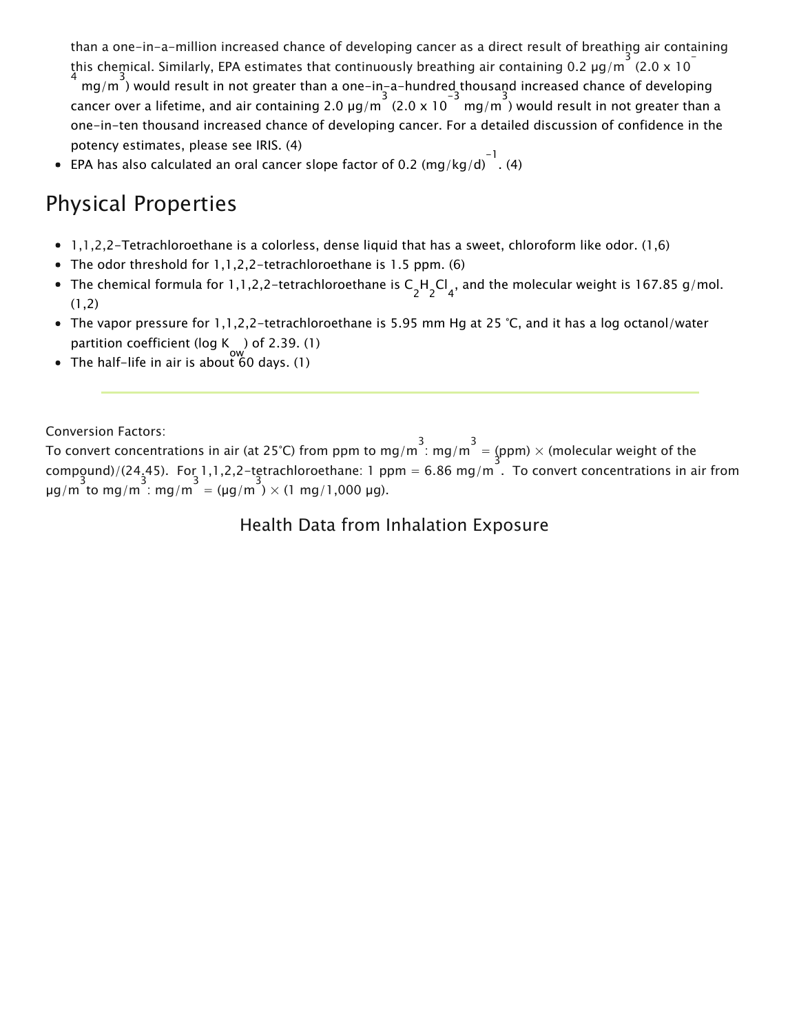than a one-in-a-million increased chance of developing cancer as a direct result of breathing air containing this chemical. Similarly, EPA estimates that continuously breathing air containing 0.2 µg/m 3 (2.0 x 10 4 mg/m 3 ) would result in not greater than a one-in-a-hundred thousand increased chance of developing cancer over a lifetime, and air containing 2.0  $\mu$ g/m<sup>3</sup> (2.0 x 10<sup>-3</sup> mg/m<sup>3</sup>) would result in not greater than a one-in-ten thousand increased chance of developing cancer. For a detailed discussion of confidence in the potency estimates, please see IRIS. (4)

EPA has also calculated an oral cancer slope factor of 0.2 (mg/kg/d)  $^{-1}$  (4)

## Physical Properties

- 1,1,2,2-Tetrachloroethane is a colorless, dense liquid that has a sweet, chloroform like odor. (1,6)
- The odor threshold for 1,1,2,2-tetrachloroethane is 1.5 ppm. (6)
- The chemical formula for 1,1,2,2-tetrachloroethane is C H Cl , and the molecular weight is 167.85 g/mol.<br> $\frac{2}{3}$   $\frac{2}{4}$  $(1,2)$
- The vapor pressure for 1,1,2,2-tetrachloroethane is 5.95 mm Hg at 25 °C, and it has a log octanol/water partition coefficient (log K ) of 2.39. (1)<br>————————————————————
- The half-life in air is about  $60$  days. (1)

Conversion Factors:

To convert concentrations in air (at 25°C) from ppm to mg/m  $\frac{3}{1}$  : mg/m  $\frac{3}{1}$  = (ppm)  $\times$  (molecular weight of the  $\frac{3}{3}$ .<br>Compound)/(24.45). For 1,1,2,2-tetrachloroethane: 1 ppm = 6.86 mg/m. To convert concentrations in air from  $\mu$ g/m<sup>3</sup> to mg/m<sup>3</sup> mg/m<sup>3</sup> = ( $\mu$ g/m<sup>3</sup>) × (1 mg/1,000  $\mu$ g).

#### Health Data from Inhalation Exposure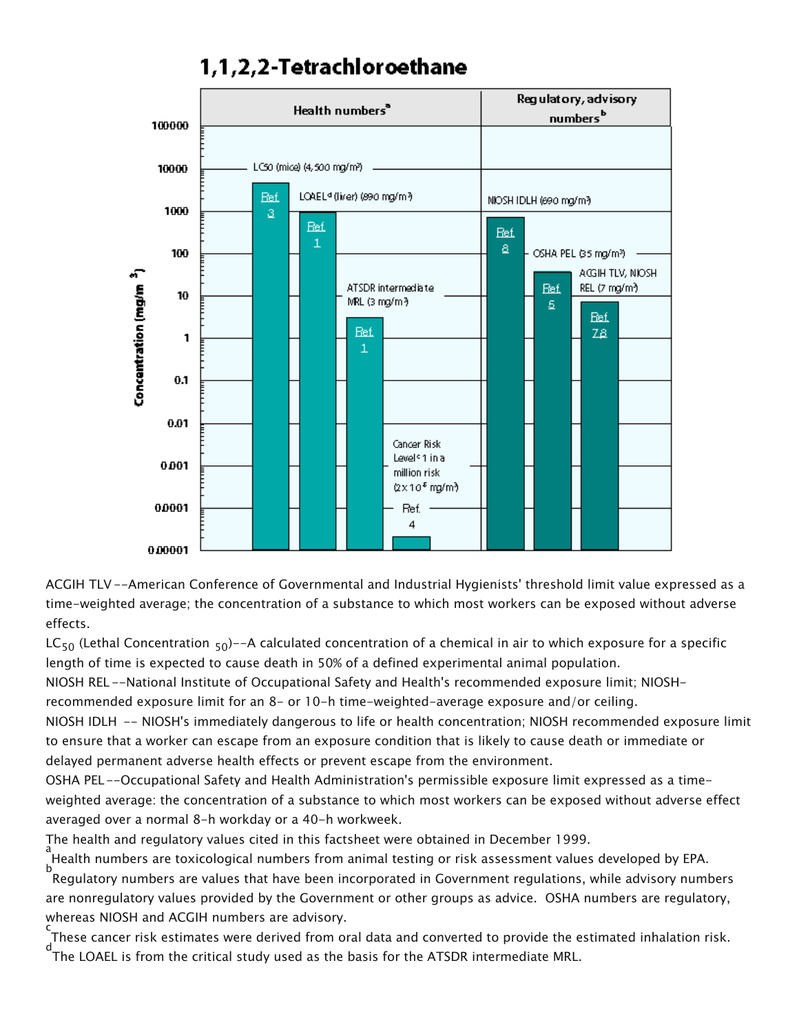### 1.1.2.2-Tetrachloroethane



ACGIH TLV--American Conference of Governmental and Industrial Hygienists' threshold limit value expressed as a time-weighted average; the concentration of a substance to which most workers can be exposed without adverse effects.

 $LC_{50}$  (Lethal Concentration  $_{50}$ )--A calculated concentration of a chemical in air to which exposure for a specific length of time is expected to cause death in 50% of a defined experimental animal population.

NIOSH REL --National Institute of Occupational Safety and Health's recommended exposure limit; NIOSH-

recommended exposure limit for an 8- or 10-h time-weighted-average exposure and/or ceiling.

NIOSH IDLH -- NIOSH's immediately dangerous to life or health concentration; NIOSH recommended exposure limit to ensure that a worker can escape from an exposure condition that is likely to cause death or immediate or delayed permanent adverse health effects or prevent escape from the environment.

OSHA PEL--Occupational Safety and Health Administration's permissible exposure limit expressed as a timeweighted average: the concentration of a substance to which most workers can be exposed without adverse effect averaged over a normal 8-h workday or a 40-h workweek.

The health and regulatory values cited in this factsheet were obtained in December 1999.

a<br>Health numbers are toxicological numbers from animal testing or risk assessment values developed by EPA. b Regulatory numbers are values that have been incorporated in Government regulations, while advisory numbers are nonregulatory values provided by the Government or other groups as advice. OSHA numbers are regulatory, whereas NIOSH and ACGIH numbers are advisory.

c These cancer risk estimates were derived from oral data and converted to provide the estimated inhalation risk. d The LOAEL is from the critical study used as the basis for the ATSDR intermediate MRL.